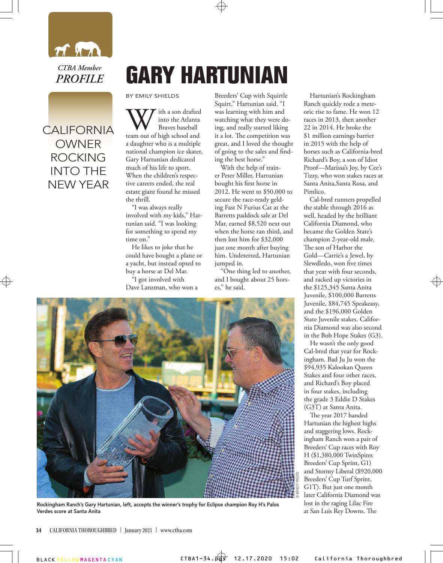

## CALIFORNIA OWNER ROCKING INTO THE NEW YEAR

## **GARY HARTUNIAN**

BY EMILY SHIELDS

With a son drafted<br>
Braves baseball<br>
team out of high school and into the Atlanta Braves baseball a daughter who is a multiple national champion ice skater, Gary Hartunian dedicated much of his life to sport. When the children's respective careers ended, the real estate giant found he missed the thrill.

"I was always really involved with my kids," Hartunian said. "I was looking for something to spend my time on."

He likes to joke that he could have bought a plane or a yacht, but instead opted to buy a horse at Del Mar.

"I got involved with Dave Lanzman, who won a

Breeders' Cup with Squirtle Squirt," Hartunian said. "I was learning with him and watching what they were doing, and really started liking it a lot. The competition was great, and I loved the thought of going to the sales and finding the best horse."

With the help of trainer Peter Miller, Hartunian bought his first horse in 2012. He went to \$50,000 to secure the race-ready gelding Fast N Furius Cat at the Barretts paddock sale at Del Mar, earned \$8,520 next out when the horse ran third, and then lost him for \$32,000 just one month after buying him. Undeterred, Hartunian jumped in.

"One thing led to another, and I bought about 25 horses," he said.

Hartunian's Rockingham Ranch quickly rode a meteoric rise to fame. He won 12 races in 2013, then another 22 in 2014. He broke the \$1 million earnings barrier in 2015 with the help of horses such as California-bred Richard's Boy, a son of Idiot Proof—Marissa's Joy, by Cee's Tizzy, who won stakes races at Santa Anita,Santa Rosa, and Pimlico.

Cal-bred runners propelled the stable through 2016 as well, headed by the brilliant California Diamond, who became the Golden State's champion 2-year-old male. The son of Harbor the Gold—Carrie's a Jewel, by Slewdledo, won five times that year with four seconds, and racked up victories in the \$125,345 Santa Anita Juvenile, \$100,000 Barretts Juvenile, \$84,745 Speakeasy, and the \$196,000 Golden State Juvenile stakes. California Diamond was also second in the Bob Hope Stakes (G3).

He wasn't the only good Cal-bred that year for Rockingham. Bad Ju Ju won the \$94,935 Kalookan Queen Stakes and four other races, and Richard's Boy placed in four stakes, including the grade 3 Eddie D Stakes (G3T) at Santa Anita.

The year 2017 handed Hartunian the highest highs and staggering lows. Rockingham Ranch won a pair of Breeders' Cup races with Roy H (\$1,380,000 TwinSpires Breeders' Cup Sprint, G1) and Stormy Liberal (\$920,000 Breeders' Cup Turf Sprint, G1T). But just one month later California Diamond was lost in the raging Lilac Fire at San Luis Rey Downs. The



Rockingham Ranch's Gary Hartunian, left, accepts the winner's trophy for Eclipse champion Roy H's Palos Verdes score at Santa Anita